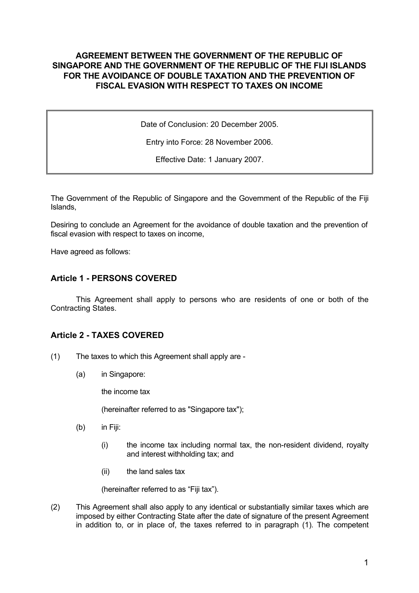## **AGREEMENT BETWEEN THE GOVERNMENT OF THE REPUBLIC OF SINGAPORE AND THE GOVERNMENT OF THE REPUBLIC OF THE FIJI ISLANDS FOR THE AVOIDANCE OF DOUBLE TAXATION AND THE PREVENTION OF FISCAL EVASION WITH RESPECT TO TAXES ON INCOME**

Date of Conclusion: 20 December 2005.

Entry into Force: 28 November 2006.

Effective Date: 1 January 2007.

The Government of the Republic of Singapore and the Government of the Republic of the Fiji Islands,

Desiring to conclude an Agreement for the avoidance of double taxation and the prevention of fiscal evasion with respect to taxes on income,

Have agreed as follows:

# **Article 1 - PERSONS COVERED**

This Agreement shall apply to persons who are residents of one or both of the Contracting States.

# **Article 2 - TAXES COVERED**

- (1) The taxes to which this Agreement shall apply are
	- (a) in Singapore:

the income tax

(hereinafter referred to as "Singapore tax");

- (b) in Fiji:
	- (i) the income tax including normal tax, the non-resident dividend, royalty and interest withholding tax; and
	- (ii) the land sales tax

(hereinafter referred to as "Fiji tax").

(2) This Agreement shall also apply to any identical or substantially similar taxes which are imposed by either Contracting State after the date of signature of the present Agreement in addition to, or in place of, the taxes referred to in paragraph (1). The competent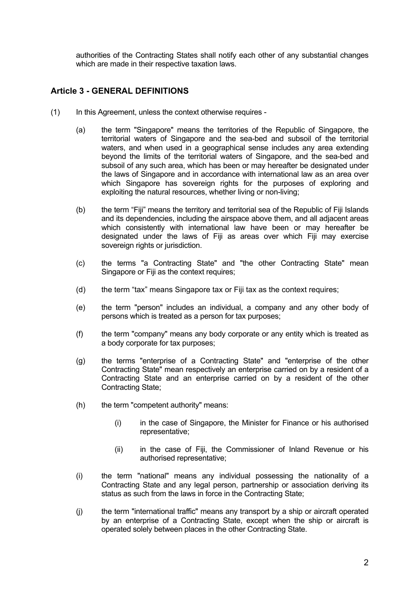authorities of the Contracting States shall notify each other of any substantial changes which are made in their respective taxation laws.

# **Article 3 - GENERAL DEFINITIONS**

- (1) In this Agreement, unless the context otherwise requires
	- (a) the term "Singapore" means the territories of the Republic of Singapore, the territorial waters of Singapore and the sea-bed and subsoil of the territorial waters, and when used in a geographical sense includes any area extending beyond the limits of the territorial waters of Singapore, and the sea-bed and subsoil of any such area, which has been or may hereafter be designated under the laws of Singapore and in accordance with international law as an area over which Singapore has sovereign rights for the purposes of exploring and exploiting the natural resources, whether living or non-living;
	- (b) the term "Fiji" means the territory and territorial sea of the Republic of Fiji Islands and its dependencies, including the airspace above them, and all adjacent areas which consistently with international law have been or may hereafter be designated under the laws of Fiji as areas over which Fiji may exercise sovereign rights or jurisdiction.
	- (c) the terms "a Contracting State" and "the other Contracting State" mean Singapore or Fiji as the context requires;
	- (d) the term "tax" means Singapore tax or Fiji tax as the context requires;
	- (e) the term "person" includes an individual, a company and any other body of persons which is treated as a person for tax purposes;
	- (f) the term "company" means any body corporate or any entity which is treated as a body corporate for tax purposes;
	- (g) the terms "enterprise of a Contracting State" and "enterprise of the other Contracting State" mean respectively an enterprise carried on by a resident of a Contracting State and an enterprise carried on by a resident of the other Contracting State;
	- (h) the term "competent authority" means:
		- (i) in the case of Singapore, the Minister for Finance or his authorised representative;
		- (ii) in the case of Fiji, the Commissioner of Inland Revenue or his authorised representative;
	- (i) the term "national" means any individual possessing the nationality of a Contracting State and any legal person, partnership or association deriving its status as such from the laws in force in the Contracting State;
	- (j) the term "international traffic" means any transport by a ship or aircraft operated by an enterprise of a Contracting State, except when the ship or aircraft is operated solely between places in the other Contracting State.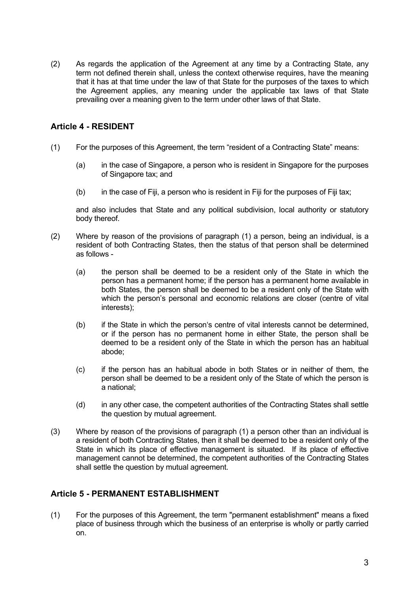(2) As regards the application of the Agreement at any time by a Contracting State, any term not defined therein shall, unless the context otherwise requires, have the meaning that it has at that time under the law of that State for the purposes of the taxes to which the Agreement applies, any meaning under the applicable tax laws of that State prevailing over a meaning given to the term under other laws of that State.

## **Article 4 - RESIDENT**

- (1) For the purposes of this Agreement, the term "resident of a Contracting State" means:
	- (a) in the case of Singapore, a person who is resident in Singapore for the purposes of Singapore tax; and
	- (b) in the case of Fiji, a person who is resident in Fiji for the purposes of Fiji tax;

and also includes that State and any political subdivision, local authority or statutory body thereof.

- (2) Where by reason of the provisions of paragraph (1) a person, being an individual, is a resident of both Contracting States, then the status of that person shall be determined as follows -
	- (a) the person shall be deemed to be a resident only of the State in which the person has a permanent home; if the person has a permanent home available in both States, the person shall be deemed to be a resident only of the State with which the person's personal and economic relations are closer (centre of vital interests);
	- (b) if the State in which the person's centre of vital interests cannot be determined, or if the person has no permanent home in either State, the person shall be deemed to be a resident only of the State in which the person has an habitual abode;
	- (c) if the person has an habitual abode in both States or in neither of them, the person shall be deemed to be a resident only of the State of which the person is a national;
	- (d) in any other case, the competent authorities of the Contracting States shall settle the question by mutual agreement.
- (3) Where by reason of the provisions of paragraph (1) a person other than an individual is a resident of both Contracting States, then it shall be deemed to be a resident only of the State in which its place of effective management is situated. If its place of effective management cannot be determined, the competent authorities of the Contracting States shall settle the question by mutual agreement.

# **Article 5 - PERMANENT ESTABLISHMENT**

(1) For the purposes of this Agreement, the term "permanent establishment" means a fixed place of business through which the business of an enterprise is wholly or partly carried on.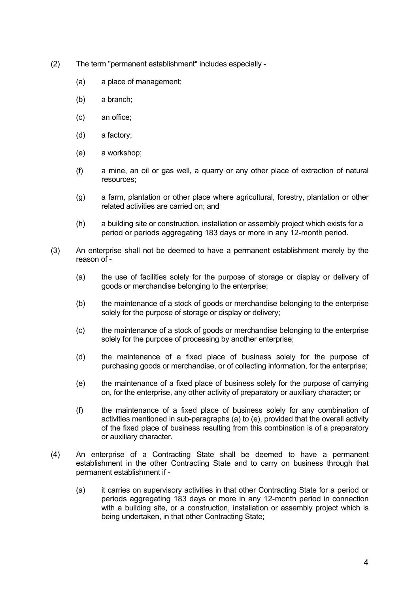- (2) The term "permanent establishment" includes especially
	- (a) a place of management;
	- (b) a branch;
	- (c) an office;
	- (d) a factory;
	- (e) a workshop;
	- (f) a mine, an oil or gas well, a quarry or any other place of extraction of natural resources;
	- (g) a farm, plantation or other place where agricultural, forestry, plantation or other related activities are carried on; and
	- (h) a building site or construction, installation or assembly project which exists for a period or periods aggregating 183 days or more in any 12-month period.
- (3) An enterprise shall not be deemed to have a permanent establishment merely by the reason of -
	- (a) the use of facilities solely for the purpose of storage or display or delivery of goods or merchandise belonging to the enterprise;
	- (b) the maintenance of a stock of goods or merchandise belonging to the enterprise solely for the purpose of storage or display or delivery;
	- (c) the maintenance of a stock of goods or merchandise belonging to the enterprise solely for the purpose of processing by another enterprise;
	- (d) the maintenance of a fixed place of business solely for the purpose of purchasing goods or merchandise, or of collecting information, for the enterprise;
	- (e) the maintenance of a fixed place of business solely for the purpose of carrying on, for the enterprise, any other activity of preparatory or auxiliary character; or
	- (f) the maintenance of a fixed place of business solely for any combination of activities mentioned in sub-paragraphs (a) to (e), provided that the overall activity of the fixed place of business resulting from this combination is of a preparatory or auxiliary character.
- (4) An enterprise of a Contracting State shall be deemed to have a permanent establishment in the other Contracting State and to carry on business through that permanent establishment if -
	- (a) it carries on supervisory activities in that other Contracting State for a period or periods aggregating 183 days or more in any 12-month period in connection with a building site, or a construction, installation or assembly project which is being undertaken, in that other Contracting State;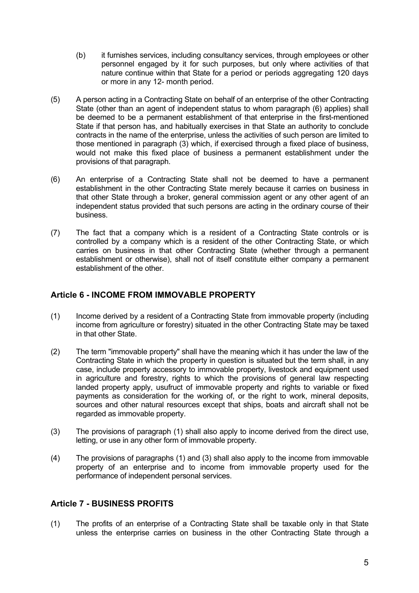- (b) it furnishes services, including consultancy services, through employees or other personnel engaged by it for such purposes, but only where activities of that nature continue within that State for a period or periods aggregating 120 days or more in any 12- month period.
- (5) A person acting in a Contracting State on behalf of an enterprise of the other Contracting State (other than an agent of independent status to whom paragraph (6) applies) shall be deemed to be a permanent establishment of that enterprise in the first-mentioned State if that person has, and habitually exercises in that State an authority to conclude contracts in the name of the enterprise, unless the activities of such person are limited to those mentioned in paragraph (3) which, if exercised through a fixed place of business, would not make this fixed place of business a permanent establishment under the provisions of that paragraph.
- (6) An enterprise of a Contracting State shall not be deemed to have a permanent establishment in the other Contracting State merely because it carries on business in that other State through a broker, general commission agent or any other agent of an independent status provided that such persons are acting in the ordinary course of their business.
- (7) The fact that a company which is a resident of a Contracting State controls or is controlled by a company which is a resident of the other Contracting State, or which carries on business in that other Contracting State (whether through a permanent establishment or otherwise), shall not of itself constitute either company a permanent establishment of the other.

## **Article 6 - INCOME FROM IMMOVABLE PROPERTY**

- (1) Income derived by a resident of a Contracting State from immovable property (including income from agriculture or forestry) situated in the other Contracting State may be taxed in that other State.
- (2) The term "immovable property" shall have the meaning which it has under the law of the Contracting State in which the property in question is situated but the term shall, in any case, include property accessory to immovable property, livestock and equipment used in agriculture and forestry, rights to which the provisions of general law respecting landed property apply, usufruct of immovable property and rights to variable or fixed payments as consideration for the working of, or the right to work, mineral deposits, sources and other natural resources except that ships, boats and aircraft shall not be regarded as immovable property.
- (3) The provisions of paragraph (1) shall also apply to income derived from the direct use, letting, or use in any other form of immovable property.
- (4) The provisions of paragraphs (1) and (3) shall also apply to the income from immovable property of an enterprise and to income from immovable property used for the performance of independent personal services.

## **Article 7 - BUSINESS PROFITS**

(1) The profits of an enterprise of a Contracting State shall be taxable only in that State unless the enterprise carries on business in the other Contracting State through a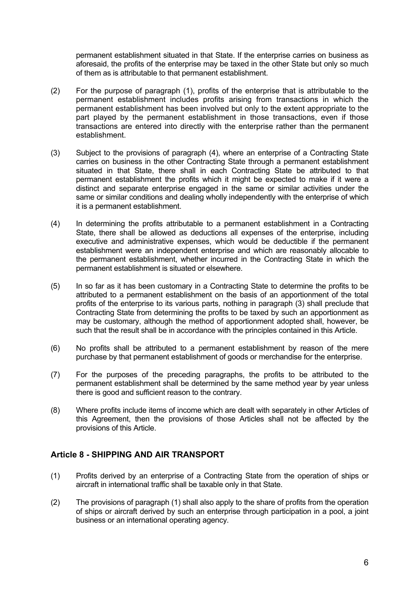permanent establishment situated in that State. If the enterprise carries on business as aforesaid, the profits of the enterprise may be taxed in the other State but only so much of them as is attributable to that permanent establishment.

- (2) For the purpose of paragraph (1), profits of the enterprise that is attributable to the permanent establishment includes profits arising from transactions in which the permanent establishment has been involved but only to the extent appropriate to the part played by the permanent establishment in those transactions, even if those transactions are entered into directly with the enterprise rather than the permanent establishment.
- (3) Subject to the provisions of paragraph (4), where an enterprise of a Contracting State carries on business in the other Contracting State through a permanent establishment situated in that State, there shall in each Contracting State be attributed to that permanent establishment the profits which it might be expected to make if it were a distinct and separate enterprise engaged in the same or similar activities under the same or similar conditions and dealing wholly independently with the enterprise of which it is a permanent establishment.
- (4) In determining the profits attributable to a permanent establishment in a Contracting State, there shall be allowed as deductions all expenses of the enterprise, including executive and administrative expenses, which would be deductible if the permanent establishment were an independent enterprise and which are reasonably allocable to the permanent establishment, whether incurred in the Contracting State in which the permanent establishment is situated or elsewhere.
- (5) In so far as it has been customary in a Contracting State to determine the profits to be attributed to a permanent establishment on the basis of an apportionment of the total profits of the enterprise to its various parts, nothing in paragraph (3) shall preclude that Contracting State from determining the profits to be taxed by such an apportionment as may be customary, although the method of apportionment adopted shall, however, be such that the result shall be in accordance with the principles contained in this Article.
- (6) No profits shall be attributed to a permanent establishment by reason of the mere purchase by that permanent establishment of goods or merchandise for the enterprise.
- (7) For the purposes of the preceding paragraphs, the profits to be attributed to the permanent establishment shall be determined by the same method year by year unless there is good and sufficient reason to the contrary.
- (8) Where profits include items of income which are dealt with separately in other Articles of this Agreement, then the provisions of those Articles shall not be affected by the provisions of this Article.

## **Article 8 - SHIPPING AND AIR TRANSPORT**

- (1) Profits derived by an enterprise of a Contracting State from the operation of ships or aircraft in international traffic shall be taxable only in that State.
- (2) The provisions of paragraph (1) shall also apply to the share of profits from the operation of ships or aircraft derived by such an enterprise through participation in a pool, a joint business or an international operating agency.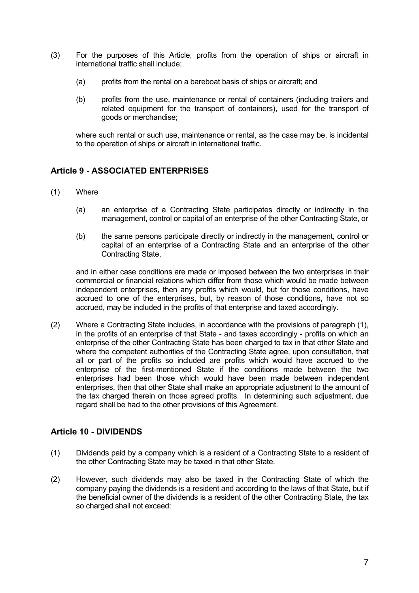- (3) For the purposes of this Article, profits from the operation of ships or aircraft in international traffic shall include:
	- (a) profits from the rental on a bareboat basis of ships or aircraft; and
	- (b) profits from the use, maintenance or rental of containers (including trailers and related equipment for the transport of containers), used for the transport of goods or merchandise;

where such rental or such use, maintenance or rental, as the case may be, is incidental to the operation of ships or aircraft in international traffic.

# **Article 9 - ASSOCIATED ENTERPRISES**

- (1) Where
	- (a) an enterprise of a Contracting State participates directly or indirectly in the management, control or capital of an enterprise of the other Contracting State, or
	- (b) the same persons participate directly or indirectly in the management, control or capital of an enterprise of a Contracting State and an enterprise of the other Contracting State,

and in either case conditions are made or imposed between the two enterprises in their commercial or financial relations which differ from those which would be made between independent enterprises, then any profits which would, but for those conditions, have accrued to one of the enterprises, but, by reason of those conditions, have not so accrued, may be included in the profits of that enterprise and taxed accordingly.

(2) Where a Contracting State includes, in accordance with the provisions of paragraph (1), in the profits of an enterprise of that State - and taxes accordingly - profits on which an enterprise of the other Contracting State has been charged to tax in that other State and where the competent authorities of the Contracting State agree, upon consultation, that all or part of the profits so included are profits which would have accrued to the enterprise of the first-mentioned State if the conditions made between the two enterprises had been those which would have been made between independent enterprises, then that other State shall make an appropriate adjustment to the amount of the tax charged therein on those agreed profits. In determining such adjustment, due regard shall be had to the other provisions of this Agreement.

## **Article 10 - DIVIDENDS**

- (1) Dividends paid by a company which is a resident of a Contracting State to a resident of the other Contracting State may be taxed in that other State.
- (2) However, such dividends may also be taxed in the Contracting State of which the company paying the dividends is a resident and according to the laws of that State, but if the beneficial owner of the dividends is a resident of the other Contracting State, the tax so charged shall not exceed: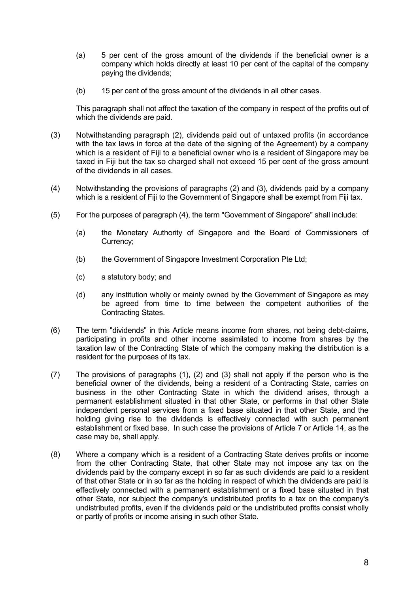- (a) 5 per cent of the gross amount of the dividends if the beneficial owner is a company which holds directly at least 10 per cent of the capital of the company paying the dividends;
- (b) 15 per cent of the gross amount of the dividends in all other cases.

This paragraph shall not affect the taxation of the company in respect of the profits out of which the dividends are paid.

- (3) Notwithstanding paragraph (2), dividends paid out of untaxed profits (in accordance with the tax laws in force at the date of the signing of the Agreement) by a company which is a resident of Fiji to a beneficial owner who is a resident of Singapore may be taxed in Fiji but the tax so charged shall not exceed 15 per cent of the gross amount of the dividends in all cases.
- (4) Notwithstanding the provisions of paragraphs (2) and (3), dividends paid by a company which is a resident of Fiji to the Government of Singapore shall be exempt from Fiji tax.
- (5) For the purposes of paragraph (4), the term "Government of Singapore" shall include:
	- (a) the Monetary Authority of Singapore and the Board of Commissioners of Currency;
	- (b) the Government of Singapore Investment Corporation Pte Ltd;
	- (c) a statutory body; and
	- (d) any institution wholly or mainly owned by the Government of Singapore as may be agreed from time to time between the competent authorities of the Contracting States.
- (6) The term "dividends" in this Article means income from shares, not being debt-claims, participating in profits and other income assimilated to income from shares by the taxation law of the Contracting State of which the company making the distribution is a resident for the purposes of its tax.
- (7) The provisions of paragraphs (1), (2) and (3) shall not apply if the person who is the beneficial owner of the dividends, being a resident of a Contracting State, carries on business in the other Contracting State in which the dividend arises, through a permanent establishment situated in that other State, or performs in that other State independent personal services from a fixed base situated in that other State, and the holding giving rise to the dividends is effectively connected with such permanent establishment or fixed base. In such case the provisions of Article 7 or Article 14, as the case may be, shall apply.
- (8) Where a company which is a resident of a Contracting State derives profits or income from the other Contracting State, that other State may not impose any tax on the dividends paid by the company except in so far as such dividends are paid to a resident of that other State or in so far as the holding in respect of which the dividends are paid is effectively connected with a permanent establishment or a fixed base situated in that other State, nor subject the company's undistributed profits to a tax on the company's undistributed profits, even if the dividends paid or the undistributed profits consist wholly or partly of profits or income arising in such other State.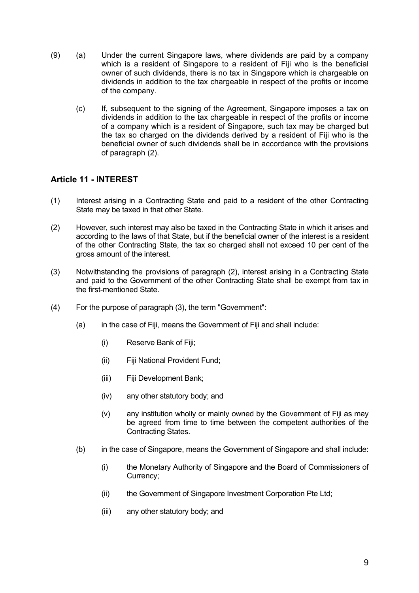- (9) (a) Under the current Singapore laws, where dividends are paid by a company which is a resident of Singapore to a resident of Fiji who is the beneficial owner of such dividends, there is no tax in Singapore which is chargeable on dividends in addition to the tax chargeable in respect of the profits or income of the company.
	- (c) If, subsequent to the signing of the Agreement, Singapore imposes a tax on dividends in addition to the tax chargeable in respect of the profits or income of a company which is a resident of Singapore, such tax may be charged but the tax so charged on the dividends derived by a resident of Fiji who is the beneficial owner of such dividends shall be in accordance with the provisions of paragraph (2).

# **Article 11 - INTEREST**

- (1) Interest arising in a Contracting State and paid to a resident of the other Contracting State may be taxed in that other State.
- (2) However, such interest may also be taxed in the Contracting State in which it arises and according to the laws of that State, but if the beneficial owner of the interest is a resident of the other Contracting State, the tax so charged shall not exceed 10 per cent of the gross amount of the interest.
- (3) Notwithstanding the provisions of paragraph (2), interest arising in a Contracting State and paid to the Government of the other Contracting State shall be exempt from tax in the first-mentioned State.
- (4) For the purpose of paragraph (3), the term "Government":
	- (a) in the case of Fiji, means the Government of Fiji and shall include:
		- (i) Reserve Bank of Fiji;
		- (ii) Fiji National Provident Fund;
		- (iii) Fiji Development Bank;
		- (iv) any other statutory body; and
		- (v) any institution wholly or mainly owned by the Government of Fiji as may be agreed from time to time between the competent authorities of the Contracting States.
	- (b) in the case of Singapore, means the Government of Singapore and shall include:
		- (i) the Monetary Authority of Singapore and the Board of Commissioners of Currency;
		- (ii) the Government of Singapore Investment Corporation Pte Ltd;
		- (iii) any other statutory body; and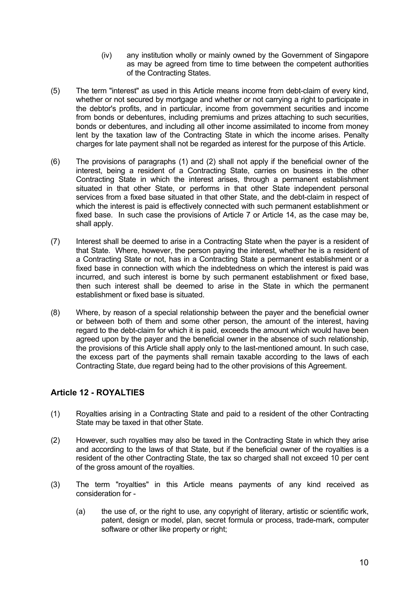- (iv) any institution wholly or mainly owned by the Government of Singapore as may be agreed from time to time between the competent authorities of the Contracting States.
- (5) The term "interest" as used in this Article means income from debt-claim of every kind, whether or not secured by mortgage and whether or not carrying a right to participate in the debtor's profits, and in particular, income from government securities and income from bonds or debentures, including premiums and prizes attaching to such securities, bonds or debentures, and including all other income assimilated to income from money lent by the taxation law of the Contracting State in which the income arises. Penalty charges for late payment shall not be regarded as interest for the purpose of this Article.
- (6) The provisions of paragraphs (1) and (2) shall not apply if the beneficial owner of the interest, being a resident of a Contracting State, carries on business in the other Contracting State in which the interest arises, through a permanent establishment situated in that other State, or performs in that other State independent personal services from a fixed base situated in that other State, and the debt-claim in respect of which the interest is paid is effectively connected with such permanent establishment or fixed base. In such case the provisions of Article 7 or Article 14, as the case may be, shall apply.
- (7) Interest shall be deemed to arise in a Contracting State when the payer is a resident of that State. Where, however, the person paying the interest, whether he is a resident of a Contracting State or not, has in a Contracting State a permanent establishment or a fixed base in connection with which the indebtedness on which the interest is paid was incurred, and such interest is borne by such permanent establishment or fixed base, then such interest shall be deemed to arise in the State in which the permanent establishment or fixed base is situated.
- (8) Where, by reason of a special relationship between the payer and the beneficial owner or between both of them and some other person, the amount of the interest, having regard to the debt-claim for which it is paid, exceeds the amount which would have been agreed upon by the payer and the beneficial owner in the absence of such relationship, the provisions of this Article shall apply only to the last-mentioned amount. In such case, the excess part of the payments shall remain taxable according to the laws of each Contracting State, due regard being had to the other provisions of this Agreement.

# **Article 12 - ROYALTIES**

- (1) Royalties arising in a Contracting State and paid to a resident of the other Contracting State may be taxed in that other State.
- (2) However, such royalties may also be taxed in the Contracting State in which they arise and according to the laws of that State, but if the beneficial owner of the royalties is a resident of the other Contracting State, the tax so charged shall not exceed 10 per cent of the gross amount of the royalties.
- (3) The term "royalties" in this Article means payments of any kind received as consideration for -
	- (a) the use of, or the right to use, any copyright of literary, artistic or scientific work, patent, design or model, plan, secret formula or process, trade-mark, computer software or other like property or right;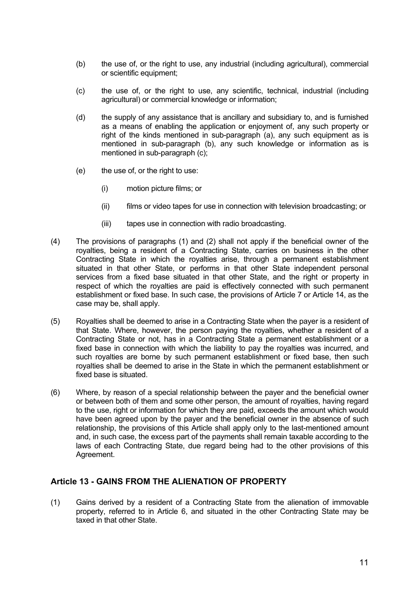- (b) the use of, or the right to use, any industrial (including agricultural), commercial or scientific equipment;
- (c) the use of, or the right to use, any scientific, technical, industrial (including agricultural) or commercial knowledge or information;
- (d) the supply of any assistance that is ancillary and subsidiary to, and is furnished as a means of enabling the application or enjoyment of, any such property or right of the kinds mentioned in sub-paragraph (a), any such equipment as is mentioned in sub-paragraph (b), any such knowledge or information as is mentioned in sub-paragraph (c);
- (e) the use of, or the right to use:
	- (i) motion picture films; or
	- (ii) films or video tapes for use in connection with television broadcasting; or
	- (iii) tapes use in connection with radio broadcasting.
- (4) The provisions of paragraphs (1) and (2) shall not apply if the beneficial owner of the royalties, being a resident of a Contracting State, carries on business in the other Contracting State in which the royalties arise, through a permanent establishment situated in that other State, or performs in that other State independent personal services from a fixed base situated in that other State, and the right or property in respect of which the royalties are paid is effectively connected with such permanent establishment or fixed base. In such case, the provisions of Article 7 or Article 14, as the case may be, shall apply.
- (5) Royalties shall be deemed to arise in a Contracting State when the payer is a resident of that State. Where, however, the person paying the royalties, whether a resident of a Contracting State or not, has in a Contracting State a permanent establishment or a fixed base in connection with which the liability to pay the royalties was incurred, and such royalties are borne by such permanent establishment or fixed base, then such royalties shall be deemed to arise in the State in which the permanent establishment or fixed base is situated.
- (6) Where, by reason of a special relationship between the payer and the beneficial owner or between both of them and some other person, the amount of royalties, having regard to the use, right or information for which they are paid, exceeds the amount which would have been agreed upon by the payer and the beneficial owner in the absence of such relationship, the provisions of this Article shall apply only to the last-mentioned amount and, in such case, the excess part of the payments shall remain taxable according to the laws of each Contracting State, due regard being had to the other provisions of this Agreement.

## **Article 13 - GAINS FROM THE ALIENATION OF PROPERTY**

(1) Gains derived by a resident of a Contracting State from the alienation of immovable property, referred to in Article 6, and situated in the other Contracting State may be taxed in that other State.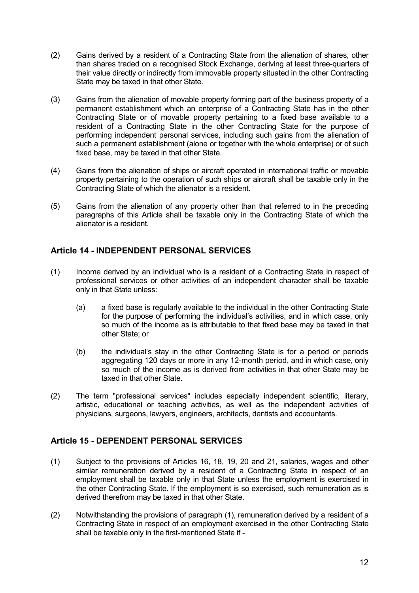- (2) Gains derived by a resident of a Contracting State from the alienation of shares, other than shares traded on a recognised Stock Exchange, deriving at least three-quarters of their value directly or indirectly from immovable property situated in the other Contracting State may be taxed in that other State.
- (3) Gains from the alienation of movable property forming part of the business property of a permanent establishment which an enterprise of a Contracting State has in the other Contracting State or of movable property pertaining to a fixed base available to a resident of a Contracting State in the other Contracting State for the purpose of performing independent personal services, including such gains from the alienation of such a permanent establishment (alone or together with the whole enterprise) or of such fixed base, may be taxed in that other State.
- (4) Gains from the alienation of ships or aircraft operated in international traffic or movable property pertaining to the operation of such ships or aircraft shall be taxable only in the Contracting State of which the alienator is a resident.
- (5) Gains from the alienation of any property other than that referred to in the preceding paragraphs of this Article shall be taxable only in the Contracting State of which the alienator is a resident.

## **Article 14 - INDEPENDENT PERSONAL SERVICES**

- (1) Income derived by an individual who is a resident of a Contracting State in respect of professional services or other activities of an independent character shall be taxable only in that State unless:
	- (a) a fixed base is regularly available to the individual in the other Contracting State for the purpose of performing the individual's activities, and in which case, only so much of the income as is attributable to that fixed base may be taxed in that other State; or
	- (b) the individual's stay in the other Contracting State is for a period or periods aggregating 120 days or more in any 12-month period, and in which case, only so much of the income as is derived from activities in that other State may be taxed in that other State.
- (2) The term "professional services" includes especially independent scientific, literary, artistic, educational or teaching activities, as well as the independent activities of physicians, surgeons, lawyers, engineers, architects, dentists and accountants.

## **Article 15 - DEPENDENT PERSONAL SERVICES**

- (1) Subject to the provisions of Articles 16, 18, 19, 20 and 21, salaries, wages and other similar remuneration derived by a resident of a Contracting State in respect of an employment shall be taxable only in that State unless the employment is exercised in the other Contracting State. If the employment is so exercised, such remuneration as is derived therefrom may be taxed in that other State.
- (2) Notwithstanding the provisions of paragraph (1), remuneration derived by a resident of a Contracting State in respect of an employment exercised in the other Contracting State shall be taxable only in the first-mentioned State if -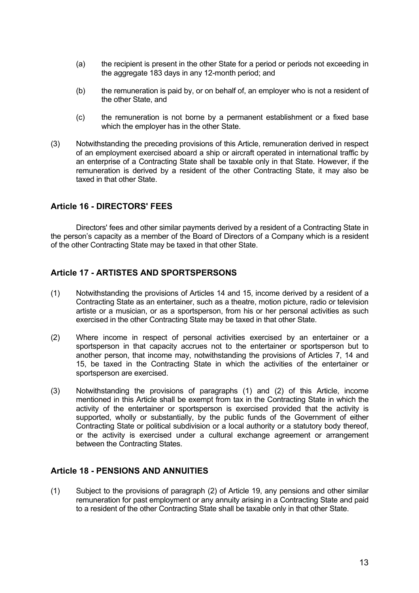- (a) the recipient is present in the other State for a period or periods not exceeding in the aggregate 183 days in any 12-month period; and
- (b) the remuneration is paid by, or on behalf of, an employer who is not a resident of the other State, and
- (c) the remuneration is not borne by a permanent establishment or a fixed base which the employer has in the other State.
- (3) Notwithstanding the preceding provisions of this Article, remuneration derived in respect of an employment exercised aboard a ship or aircraft operated in international traffic by an enterprise of a Contracting State shall be taxable only in that State. However, if the remuneration is derived by a resident of the other Contracting State, it may also be taxed in that other State.

## **Article 16 - DIRECTORS' FEES**

Directors' fees and other similar payments derived by a resident of a Contracting State in the person's capacity as a member of the Board of Directors of a Company which is a resident of the other Contracting State may be taxed in that other State.

#### **Article 17 - ARTISTES AND SPORTSPERSONS**

- (1) Notwithstanding the provisions of Articles 14 and 15, income derived by a resident of a Contracting State as an entertainer, such as a theatre, motion picture, radio or television artiste or a musician, or as a sportsperson, from his or her personal activities as such exercised in the other Contracting State may be taxed in that other State.
- (2) Where income in respect of personal activities exercised by an entertainer or a sportsperson in that capacity accrues not to the entertainer or sportsperson but to another person, that income may, notwithstanding the provisions of Articles 7, 14 and 15, be taxed in the Contracting State in which the activities of the entertainer or sportsperson are exercised.
- (3) Notwithstanding the provisions of paragraphs (1) and (2) of this Article, income mentioned in this Article shall be exempt from tax in the Contracting State in which the activity of the entertainer or sportsperson is exercised provided that the activity is supported, wholly or substantially, by the public funds of the Government of either Contracting State or political subdivision or a local authority or a statutory body thereof, or the activity is exercised under a cultural exchange agreement or arrangement between the Contracting States.

### **Article 18 - PENSIONS AND ANNUITIES**

(1) Subject to the provisions of paragraph (2) of Article 19, any pensions and other similar remuneration for past employment or any annuity arising in a Contracting State and paid to a resident of the other Contracting State shall be taxable only in that other State.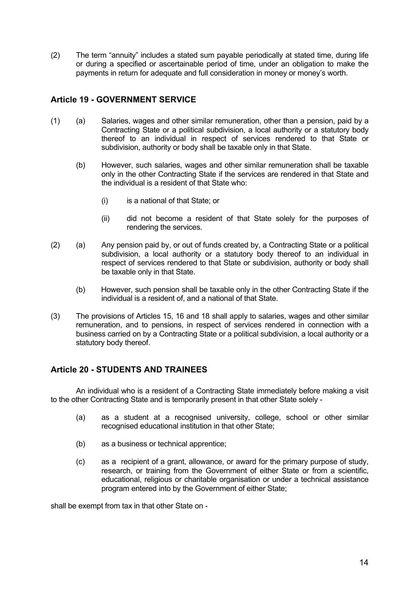(2) The term "annuity" includes a stated sum payable periodically at stated time, during life or during a specified or ascertainable period of time, under an obligation to make the payments in return for adequate and full consideration in money or money's worth.

## **Article 19 - GOVERNMENT SERVICE**

- (1) (a) Salaries, wages and other similar remuneration, other than a pension, paid by a Contracting State or a political subdivision, a local authority or a statutory body thereof to an individual in respect of services rendered to that State or subdivision, authority or body shall be taxable only in that State.
	- (b) However, such salaries, wages and other similar remuneration shall be taxable only in the other Contracting State if the services are rendered in that State and the individual is a resident of that State who:
		- (i) is a national of that State; or
		- (ii) did not become a resident of that State solely for the purposes of rendering the services.
- (2) (a) Any pension paid by, or out of funds created by, a Contracting State or a political subdivision, a local authority or a statutory body thereof to an individual in respect of services rendered to that State or subdivision, authority or body shall be taxable only in that State.
	- (b) However, such pension shall be taxable only in the other Contracting State if the individual is a resident of, and a national of that State.
- (3) The provisions of Articles 15, 16 and 18 shall apply to salaries, wages and other similar remuneration, and to pensions, in respect of services rendered in connection with a business carried on by a Contracting State or a political subdivision, a local authority or a statutory body thereof.

# **Article 20 - STUDENTS AND TRAINEES**

An individual who is a resident of a Contracting State immediately before making a visit to the other Contracting State and is temporarily present in that other State solely -

- (a) as a student at a recognised university, college, school or other similar recognised educational institution in that other State;
- (b) as a business or technical apprentice;
- (c) as a recipient of a grant, allowance, or award for the primary purpose of study, research, or training from the Government of either State or from a scientific, educational, religious or charitable organisation or under a technical assistance program entered into by the Government of either State;

shall be exempt from tax in that other State on -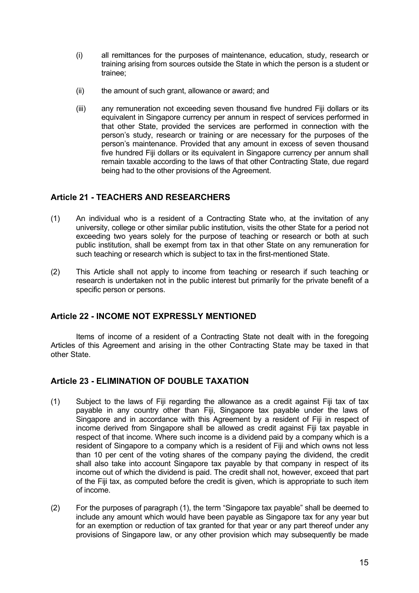- (i) all remittances for the purposes of maintenance, education, study, research or training arising from sources outside the State in which the person is a student or trainee;
- (ii) the amount of such grant, allowance or award; and
- (iii) any remuneration not exceeding seven thousand five hundred Fiji dollars or its equivalent in Singapore currency per annum in respect of services performed in that other State, provided the services are performed in connection with the person's study, research or training or are necessary for the purposes of the person's maintenance. Provided that any amount in excess of seven thousand five hundred Fiji dollars or its equivalent in Singapore currency per annum shall remain taxable according to the laws of that other Contracting State, due regard being had to the other provisions of the Agreement.

## **Article 21 - TEACHERS AND RESEARCHERS**

- (1) An individual who is a resident of a Contracting State who, at the invitation of any university, college or other similar public institution, visits the other State for a period not exceeding two years solely for the purpose of teaching or research or both at such public institution, shall be exempt from tax in that other State on any remuneration for such teaching or research which is subject to tax in the first-mentioned State.
- (2) This Article shall not apply to income from teaching or research if such teaching or research is undertaken not in the public interest but primarily for the private benefit of a specific person or persons.

## **Article 22 - INCOME NOT EXPRESSLY MENTIONED**

Items of income of a resident of a Contracting State not dealt with in the foregoing Articles of this Agreement and arising in the other Contracting State may be taxed in that other State.

# **Article 23 - ELIMINATION OF DOUBLE TAXATION**

- (1) Subject to the laws of Fiji regarding the allowance as a credit against Fiji tax of tax payable in any country other than Fiji, Singapore tax payable under the laws of Singapore and in accordance with this Agreement by a resident of Fiji in respect of income derived from Singapore shall be allowed as credit against Fiji tax payable in respect of that income. Where such income is a dividend paid by a company which is a resident of Singapore to a company which is a resident of Fiji and which owns not less than 10 per cent of the voting shares of the company paying the dividend, the credit shall also take into account Singapore tax payable by that company in respect of its income out of which the dividend is paid. The credit shall not, however, exceed that part of the Fiji tax, as computed before the credit is given, which is appropriate to such item of income.
- (2) For the purposes of paragraph (1), the term "Singapore tax payable" shall be deemed to include any amount which would have been payable as Singapore tax for any year but for an exemption or reduction of tax granted for that year or any part thereof under any provisions of Singapore law, or any other provision which may subsequently be made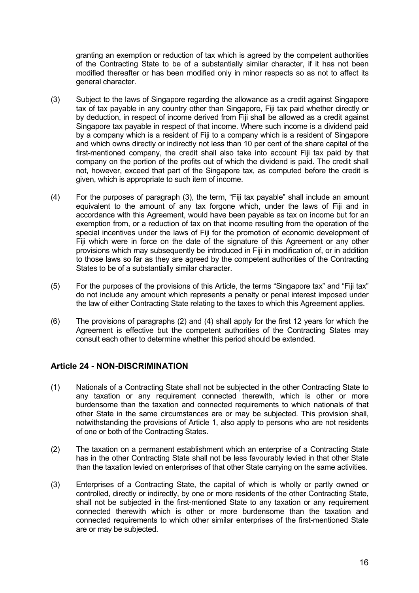granting an exemption or reduction of tax which is agreed by the competent authorities of the Contracting State to be of a substantially similar character, if it has not been modified thereafter or has been modified only in minor respects so as not to affect its general character.

- (3) Subject to the laws of Singapore regarding the allowance as a credit against Singapore tax of tax payable in any country other than Singapore, Fiji tax paid whether directly or by deduction, in respect of income derived from Fiji shall be allowed as a credit against Singapore tax payable in respect of that income. Where such income is a dividend paid by a company which is a resident of Fiji to a company which is a resident of Singapore and which owns directly or indirectly not less than 10 per cent of the share capital of the first-mentioned company, the credit shall also take into account Fiji tax paid by that company on the portion of the profits out of which the dividend is paid. The credit shall not, however, exceed that part of the Singapore tax, as computed before the credit is given, which is appropriate to such item of income.
- (4) For the purposes of paragraph (3), the term, "Fiji tax payable" shall include an amount equivalent to the amount of any tax forgone which, under the laws of Fiji and in accordance with this Agreement, would have been payable as tax on income but for an exemption from, or a reduction of tax on that income resulting from the operation of the special incentives under the laws of Fiji for the promotion of economic development of Fiji which were in force on the date of the signature of this Agreement or any other provisions which may subsequently be introduced in Fiji in modification of, or in addition to those laws so far as they are agreed by the competent authorities of the Contracting States to be of a substantially similar character.
- (5) For the purposes of the provisions of this Article, the terms "Singapore tax" and "Fiji tax" do not include any amount which represents a penalty or penal interest imposed under the law of either Contracting State relating to the taxes to which this Agreement applies.
- (6) The provisions of paragraphs (2) and (4) shall apply for the first 12 years for which the Agreement is effective but the competent authorities of the Contracting States may consult each other to determine whether this period should be extended.

## **Article 24 - NON-DISCRIMINATION**

- (1) Nationals of a Contracting State shall not be subjected in the other Contracting State to any taxation or any requirement connected therewith, which is other or more burdensome than the taxation and connected requirements to which nationals of that other State in the same circumstances are or may be subjected. This provision shall, notwithstanding the provisions of Article 1, also apply to persons who are not residents of one or both of the Contracting States.
- (2) The taxation on a permanent establishment which an enterprise of a Contracting State has in the other Contracting State shall not be less favourably levied in that other State than the taxation levied on enterprises of that other State carrying on the same activities.
- (3) Enterprises of a Contracting State, the capital of which is wholly or partly owned or controlled, directly or indirectly, by one or more residents of the other Contracting State, shall not be subjected in the first-mentioned State to any taxation or any requirement connected therewith which is other or more burdensome than the taxation and connected requirements to which other similar enterprises of the first-mentioned State are or may be subjected.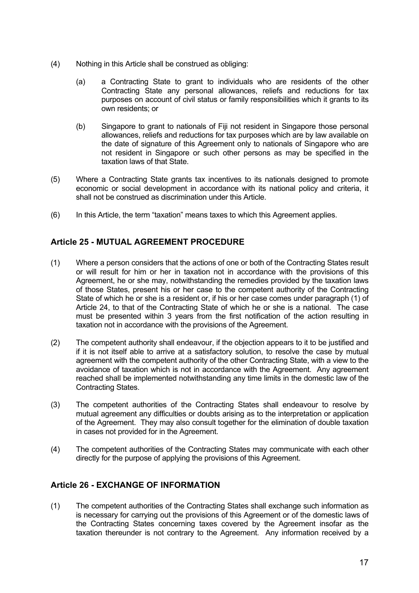- (4) Nothing in this Article shall be construed as obliging:
	- (a) a Contracting State to grant to individuals who are residents of the other Contracting State any personal allowances, reliefs and reductions for tax purposes on account of civil status or family responsibilities which it grants to its own residents; or
	- (b) Singapore to grant to nationals of Fiji not resident in Singapore those personal allowances, reliefs and reductions for tax purposes which are by law available on the date of signature of this Agreement only to nationals of Singapore who are not resident in Singapore or such other persons as may be specified in the taxation laws of that State.
- (5) Where a Contracting State grants tax incentives to its nationals designed to promote economic or social development in accordance with its national policy and criteria, it shall not be construed as discrimination under this Article.
- (6) In this Article, the term "taxation" means taxes to which this Agreement applies.

# **Article 25 - MUTUAL AGREEMENT PROCEDURE**

- (1) Where a person considers that the actions of one or both of the Contracting States result or will result for him or her in taxation not in accordance with the provisions of this Agreement, he or she may, notwithstanding the remedies provided by the taxation laws of those States, present his or her case to the competent authority of the Contracting State of which he or she is a resident or, if his or her case comes under paragraph (1) of Article 24, to that of the Contracting State of which he or she is a national. The case must be presented within 3 years from the first notification of the action resulting in taxation not in accordance with the provisions of the Agreement.
- (2) The competent authority shall endeavour, if the objection appears to it to be justified and if it is not itself able to arrive at a satisfactory solution, to resolve the case by mutual agreement with the competent authority of the other Contracting State, with a view to the avoidance of taxation which is not in accordance with the Agreement. Any agreement reached shall be implemented notwithstanding any time limits in the domestic law of the Contracting States.
- (3) The competent authorities of the Contracting States shall endeavour to resolve by mutual agreement any difficulties or doubts arising as to the interpretation or application of the Agreement. They may also consult together for the elimination of double taxation in cases not provided for in the Agreement.
- (4) The competent authorities of the Contracting States may communicate with each other directly for the purpose of applying the provisions of this Agreement.

# **Article 26 - EXCHANGE OF INFORMATION**

(1) The competent authorities of the Contracting States shall exchange such information as is necessary for carrying out the provisions of this Agreement or of the domestic laws of the Contracting States concerning taxes covered by the Agreement insofar as the taxation thereunder is not contrary to the Agreement. Any information received by a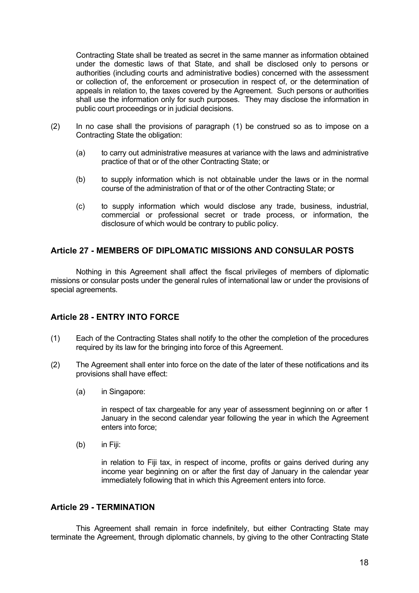Contracting State shall be treated as secret in the same manner as information obtained under the domestic laws of that State, and shall be disclosed only to persons or authorities (including courts and administrative bodies) concerned with the assessment or collection of, the enforcement or prosecution in respect of, or the determination of appeals in relation to, the taxes covered by the Agreement. Such persons or authorities shall use the information only for such purposes. They may disclose the information in public court proceedings or in judicial decisions.

- (2) In no case shall the provisions of paragraph (1) be construed so as to impose on a Contracting State the obligation:
	- (a) to carry out administrative measures at variance with the laws and administrative practice of that or of the other Contracting State; or
	- (b) to supply information which is not obtainable under the laws or in the normal course of the administration of that or of the other Contracting State; or
	- (c) to supply information which would disclose any trade, business, industrial, commercial or professional secret or trade process, or information, the disclosure of which would be contrary to public policy.

### **Article 27 - MEMBERS OF DIPLOMATIC MISSIONS AND CONSULAR POSTS**

Nothing in this Agreement shall affect the fiscal privileges of members of diplomatic missions or consular posts under the general rules of international law or under the provisions of special agreements.

#### **Article 28 - ENTRY INTO FORCE**

- (1) Each of the Contracting States shall notify to the other the completion of the procedures required by its law for the bringing into force of this Agreement.
- (2) The Agreement shall enter into force on the date of the later of these notifications and its provisions shall have effect:
	- (a) in Singapore:

in respect of tax chargeable for any year of assessment beginning on or after 1 January in the second calendar year following the year in which the Agreement enters into force;

 $(b)$  in Fiii:

in relation to Fiji tax, in respect of income, profits or gains derived during any income year beginning on or after the first day of January in the calendar year immediately following that in which this Agreement enters into force.

## **Article 29 - TERMINATION**

This Agreement shall remain in force indefinitely, but either Contracting State may terminate the Agreement, through diplomatic channels, by giving to the other Contracting State